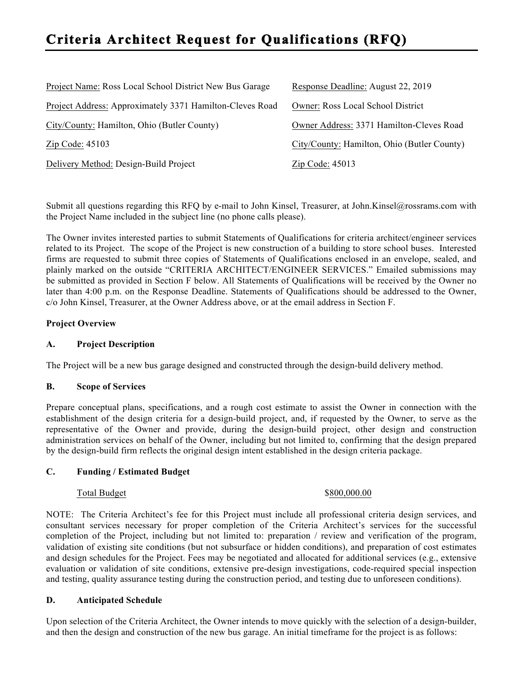# **Criteria Architect Request for Qualifications (RFQ)**

| Project Name: Ross Local School District New Bus Garage  | Response Deadline: August 22, 2019          |
|----------------------------------------------------------|---------------------------------------------|
| Project Address: Approximately 3371 Hamilton-Cleves Road | <b>Owner: Ross Local School District</b>    |
| City/County: Hamilton, Ohio (Butler County)              | Owner Address: 3371 Hamilton-Cleves Road    |
| Zip Code: 45103                                          | City/County: Hamilton, Ohio (Butler County) |
| Delivery Method: Design-Build Project                    | $\overline{\text{Zip Code}}$ : 45013        |

Submit all questions regarding this RFQ by e-mail to John Kinsel, Treasurer, at John.Kinsel@rossrams.com with the Project Name included in the subject line (no phone calls please).

The Owner invites interested parties to submit Statements of Qualifications for criteria architect/engineer services related to its Project. The scope of the Project is new construction of a building to store school buses. Interested firms are requested to submit three copies of Statements of Qualifications enclosed in an envelope, sealed, and plainly marked on the outside "CRITERIA ARCHITECT/ENGINEER SERVICES." Emailed submissions may be submitted as provided in Section F below. All Statements of Qualifications will be received by the Owner no later than 4:00 p.m. on the Response Deadline. Statements of Qualifications should be addressed to the Owner, c/o John Kinsel, Treasurer, at the Owner Address above, or at the email address in Section F.

# **Project Overview**

### **A. Project Description**

The Project will be a new bus garage designed and constructed through the design-build delivery method.

### **B. Scope of Services**

Prepare conceptual plans, specifications, and a rough cost estimate to assist the Owner in connection with the establishment of the design criteria for a design-build project, and, if requested by the Owner, to serve as the representative of the Owner and provide, during the design-build project, other design and construction administration services on behalf of the Owner, including but not limited to, confirming that the design prepared by the design-build firm reflects the original design intent established in the design criteria package.

### **C. Funding / Estimated Budget**

#### Total Budget \$800,000.00

NOTE: The Criteria Architect's fee for this Project must include all professional criteria design services, and consultant services necessary for proper completion of the Criteria Architect's services for the successful completion of the Project, including but not limited to: preparation / review and verification of the program, validation of existing site conditions (but not subsurface or hidden conditions), and preparation of cost estimates and design schedules for the Project. Fees may be negotiated and allocated for additional services (e.g., extensive evaluation or validation of site conditions, extensive pre-design investigations, code-required special inspection and testing, quality assurance testing during the construction period, and testing due to unforeseen conditions).

### **D. Anticipated Schedule**

Upon selection of the Criteria Architect, the Owner intends to move quickly with the selection of a design-builder, and then the design and construction of the new bus garage. An initial timeframe for the project is as follows: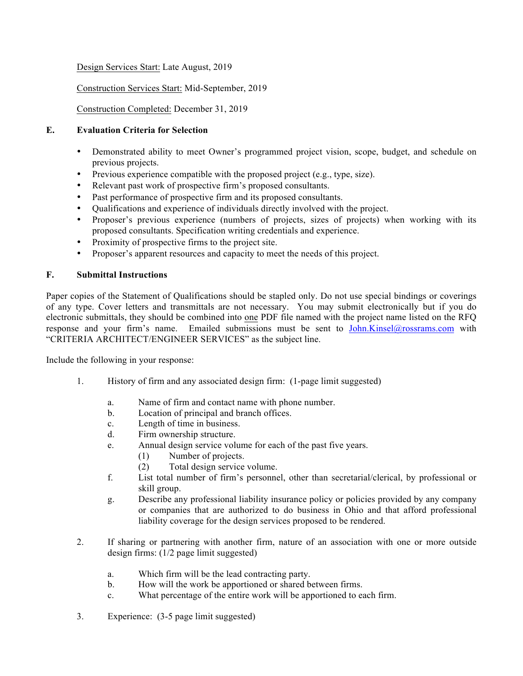# Design Services Start: Late August, 2019

# Construction Services Start: Mid-September, 2019

# Construction Completed: December 31, 2019

# **E. Evaluation Criteria for Selection**

- Demonstrated ability to meet Owner's programmed project vision, scope, budget, and schedule on previous projects.
- Previous experience compatible with the proposed project (e.g., type, size).
- Relevant past work of prospective firm's proposed consultants.
- Past performance of prospective firm and its proposed consultants.
- Qualifications and experience of individuals directly involved with the project.
- Proposer's previous experience (numbers of projects, sizes of projects) when working with its proposed consultants. Specification writing credentials and experience.
- Proximity of prospective firms to the project site.
- Proposer's apparent resources and capacity to meet the needs of this project.

# **F. Submittal Instructions**

Paper copies of the Statement of Qualifications should be stapled only. Do not use special bindings or coverings of any type. Cover letters and transmittals are not necessary. You may submit electronically but if you do electronic submittals, they should be combined into one PDF file named with the project name listed on the RFQ response and your firm's name. Emailed submissions must be sent to John.Kinsel@rossrams.com with "CRITERIA ARCHITECT/ENGINEER SERVICES" as the subject line.

Include the following in your response:

- 1. History of firm and any associated design firm: (1-page limit suggested)
	- a. Name of firm and contact name with phone number.
	- b. Location of principal and branch offices.
	- c. Length of time in business.
	- d. Firm ownership structure.
	- e. Annual design service volume for each of the past five years.
		- (1) Number of projects.
		- (2) Total design service volume.
	- f. List total number of firm's personnel, other than secretarial/clerical, by professional or skill group.
	- g. Describe any professional liability insurance policy or policies provided by any company or companies that are authorized to do business in Ohio and that afford professional liability coverage for the design services proposed to be rendered.
- 2. If sharing or partnering with another firm, nature of an association with one or more outside design firms: (1/2 page limit suggested)
	- a. Which firm will be the lead contracting party.
	- b. How will the work be apportioned or shared between firms.
	- c. What percentage of the entire work will be apportioned to each firm.
- 3. Experience: (3-5 page limit suggested)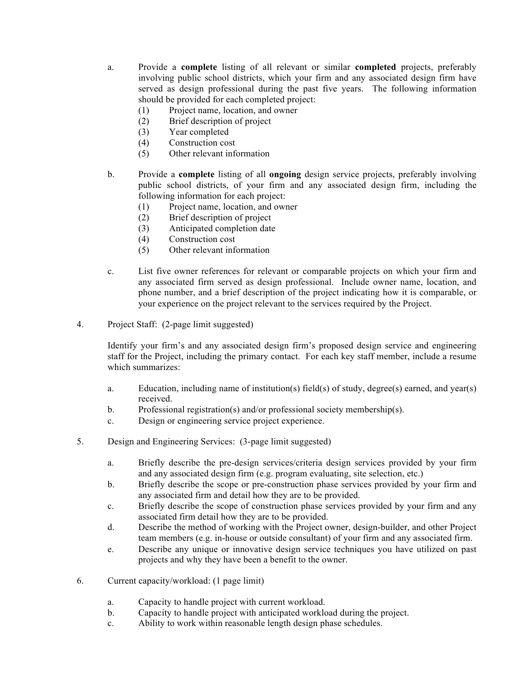- a. Provide a **complete** listing of all relevant or similar **completed** projects, preferably involving public school districts, which your firm and any associated design firm have served as design professional during the past five years. The following information should be provided for each completed project:
	- (1) Project name, location, and owner
	- (2) Brief description of project
	- (3) Year completed
	- (4) Construction cost
	- (5) Other relevant information
- b. Provide a **complete** listing of all **ongoing** design service projects, preferably involving public school districts, of your firm and any associated design firm, including the following information for each project:
	- (1) Project name, location, and owner
	- (2) Brief description of project
	- (3) Anticipated completion date
	- (4) Construction cost
	- (5) Other relevant information
- c. List five owner references for relevant or comparable projects on which your firm and any associated firm served as design professional. Include owner name, location, and phone number, and a brief description of the project indicating how it is comparable, or your experience on the project relevant to the services required by the Project.
- 4. Project Staff: (2-page limit suggested)

Identify your firm's and any associated design firm's proposed design service and engineering staff for the Project, including the primary contact. For each key staff member, include a resume which summarizes:

- a. Education, including name of institution(s) field(s) of study, degree(s) earned, and year(s) received.
- b. Professional registration(s) and/or professional society membership(s).
- c. Design or engineering service project experience.
- 5. Design and Engineering Services: (3-page limit suggested)
	- a. Briefly describe the pre-design services/criteria design services provided by your firm and any associated design firm (e.g. program evaluating, site selection, etc.)
	- b. Briefly describe the scope or pre-construction phase services provided by your firm and any associated firm and detail how they are to be provided.
	- c. Briefly describe the scope of construction phase services provided by your firm and any associated firm detail how they are to be provided.
	- d. Describe the method of working with the Project owner, design-builder, and other Project team members (e.g. in-house or outside consultant) of your firm and any associated firm.
	- e. Describe any unique or innovative design service techniques you have utilized on past projects and why they have been a benefit to the owner.
- 6. Current capacity/workload: (1 page limit)
	- a. Capacity to handle project with current workload.
	- b. Capacity to handle project with anticipated workload during the project.
	- c. Ability to work within reasonable length design phase schedules.